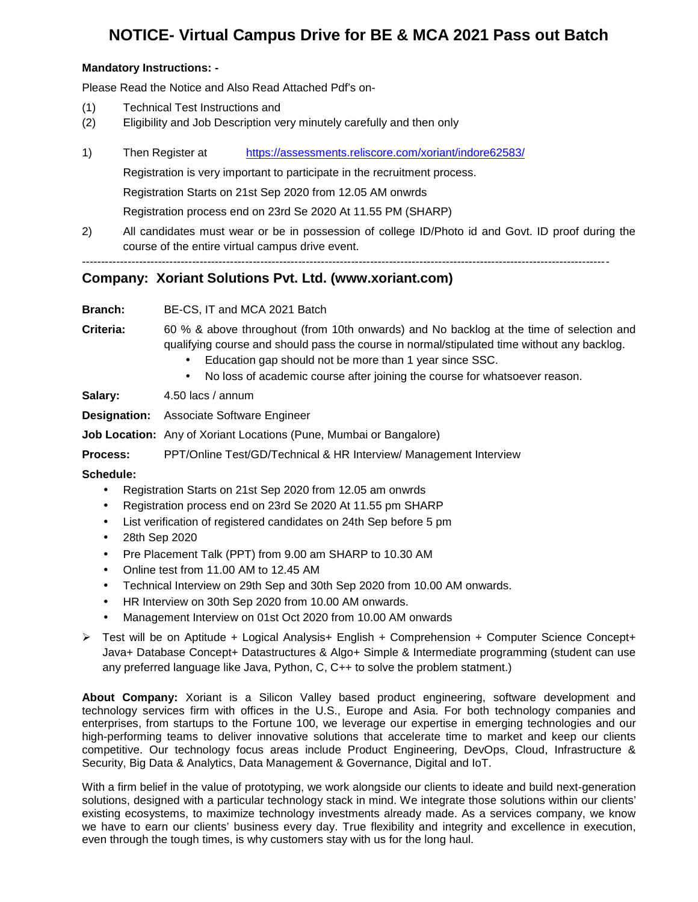### **NOTICE- Virtual Campus Drive for BE & MCA 2021 Pass out Batch**

#### **Mandatory Instructions: -**

Please Read the Notice and Also Read Attached Pdf's on-

- (1) Technical Test Instructions and
- (2) Eligibility and Job Description very minutely carefully and then only
- 1) Then Register at https://assessments.reliscore.com/xoriant/indore62583/

Registration is very important to participate in the recruitment process.

Registration Starts on 21st Sep 2020 from 12.05 AM onwrds

Registration process end on 23rd Se 2020 At 11.55 PM (SHARP)

-------------------------------------------------------------------------------------------------------------------------------------------

2) All candidates must wear or be in possession of college ID/Photo id and Govt. ID proof during the course of the entire virtual campus drive event.

#### **Company: Xoriant Solutions Pvt. Ltd. (www.xoriant.com)**

**Branch:** BE-CS, IT and MCA 2021 Batch

**Criteria:** 60 % & above throughout (from 10th onwards) and No backlog at the time of selection and qualifying course and should pass the course in normal/stipulated time without any backlog.

- Education gap should not be more than 1 year since SSC.
- No loss of academic course after joining the course for whatsoever reason.

**Salary:** 4.50 lacs / annum

**Designation:** Associate Software Engineer

**Job Location:** Any of Xoriant Locations (Pune, Mumbai or Bangalore)

**Process:** PPT/Online Test/GD/Technical & HR Interview/ Management Interview

**Schedule:**

- Registration Starts on 21st Sep 2020 from 12.05 am onwrds
- Registration process end on 23rd Se 2020 At 11.55 pm SHARP
- List verification of registered candidates on 24th Sep before 5 pm
- 28th Sep 2020
- Pre Placement Talk (PPT) from 9.00 am SHARP to 10.30 AM
- Online test from 11.00 AM to 12.45 AM
- Technical Interview on 29th Sep and 30th Sep 2020 from 10.00 AM onwards.
- HR Interview on 30th Sep 2020 from 10.00 AM onwards.
- Management Interview on 01st Oct 2020 from 10.00 AM onwards
- Test will be on Aptitude + Logical Analysis+ English + Comprehension + Computer Science Concept+ Java+ Database Concept+ Datastructures & Algo+ Simple & Intermediate programming (student can use any preferred language like Java, Python, C, C++ to solve the problem statment.)

**About Company:** Xoriant is a Silicon Valley based product engineering, software development and technology services firm with offices in the U.S., Europe and Asia. For both technology companies and enterprises, from startups to the Fortune 100, we leverage our expertise in emerging technologies and our high-performing teams to deliver innovative solutions that accelerate time to market and keep our clients competitive. Our technology focus areas include Product Engineering, DevOps, Cloud, Infrastructure & Security, Big Data & Analytics, Data Management & Governance, Digital and IoT.

With a firm belief in the value of prototyping, we work alongside our clients to ideate and build next-generation solutions, designed with a particular technology stack in mind. We integrate those solutions within our clients' existing ecosystems, to maximize technology investments already made. As a services company, we know we have to earn our clients' business every day. True flexibility and integrity and excellence in execution, even through the tough times, is why customers stay with us for the long haul.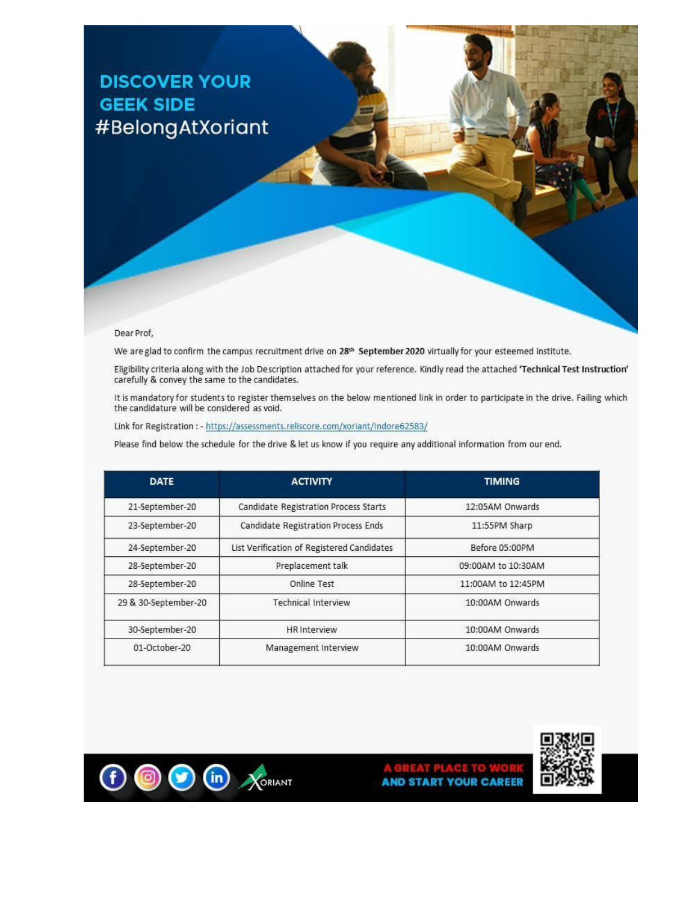# **DISCOVER YOUR GEEK SIDE** #BelongAtXoriant

#### Dear Prof,

We are glad to confirm the campus recruitment drive on 28<sup>th</sup> September 2020 virtually for your esteemed institute.

Eligibility criteria along with the Job Description attached for your reference. Kindly read the attached 'Technical Test Instruction' carefully & convey the same to the candidates.

It is mandatory for students to register themselves on the below mentioned link in order to participate in the drive. Failing which the candidature will be considered as void.

Link for Registration : - https://assessments.reliscore.com/xoriant/Indore62583/

Please find below the schedule for the drive & let us know if you require any additional information from our end.

| <b>DATE</b>          | <b>ACTIVITY</b>                            | <b>TIMING</b>      |
|----------------------|--------------------------------------------|--------------------|
| 21-September-20      | Candidate Registration Process Starts      | 12:05AM Onwards    |
| 23-September-20      | <b>Candidate Registration Process Ends</b> | 11:55PM Sharp      |
| 24-September-20      | List Verification of Registered Candidates | Before 05:00PM     |
| 28-September-20      | Preplacement talk                          | 09:00AM to 10:30AM |
| 28-September-20      | Online Test                                | 11:00AM to 12:45PM |
| 29 & 30-September-20 | <b>Technical Interview</b>                 | 10:00AM Onwards    |
| 30-September-20      | <b>HR</b> interview                        | 10:00AM Onwards    |
| 01-October-20        | Management Interview                       | 10:00AM Onwards    |



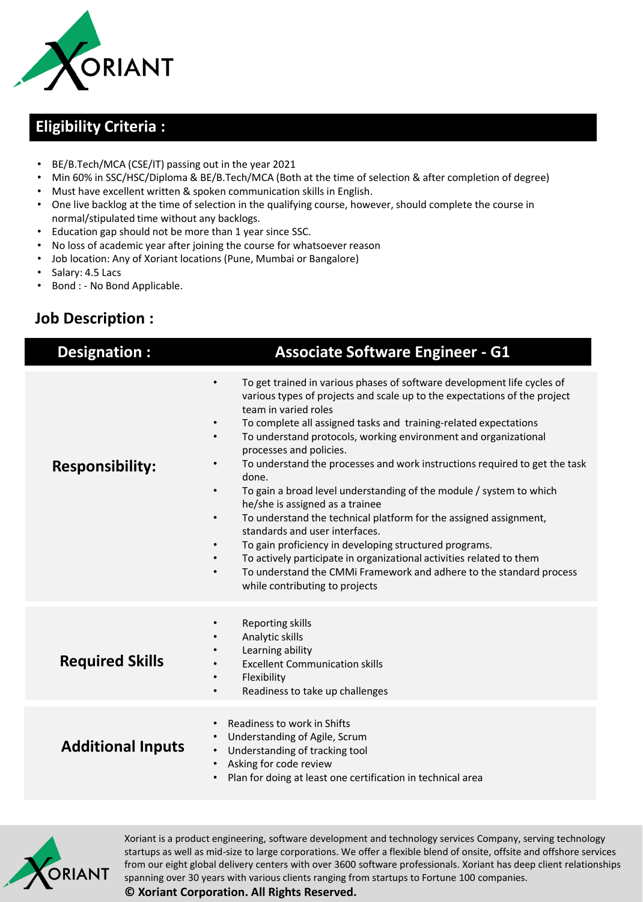

## **Eligibility Criteria :**

- BE/B.Tech/MCA (CSE/IT) passing out in the year 2021
- Min 60% in SSC/HSC/Diploma & BE/B.Tech/MCA (Both at the time of selection & after completion of degree)
- Must have excellent written & spoken communication skills in English.
- One live backlog at the time of selection in the qualifying course, however, should complete the course in normal/stipulated time without any backlogs.
- Education gap should not be more than 1 year since SSC.
- No loss of academic year after joining the course for whatsoever reason
- Job location: Any of Xoriant locations (Pune, Mumbai or Bangalore)
- Salary: 4.5 Lacs
- Bond : No Bond Applicable.

## **Job Description :**

| Designation:             | <b>Associate Software Engineer - G1</b>                                                                                                                                                                                                                                                                                                                                                                                                                                                                                                                                                                                                                                                                                                                                                                                                                                                                                                                                         |
|--------------------------|---------------------------------------------------------------------------------------------------------------------------------------------------------------------------------------------------------------------------------------------------------------------------------------------------------------------------------------------------------------------------------------------------------------------------------------------------------------------------------------------------------------------------------------------------------------------------------------------------------------------------------------------------------------------------------------------------------------------------------------------------------------------------------------------------------------------------------------------------------------------------------------------------------------------------------------------------------------------------------|
| <b>Responsibility:</b>   | To get trained in various phases of software development life cycles of<br>$\bullet$<br>various types of projects and scale up to the expectations of the project<br>team in varied roles<br>To complete all assigned tasks and training-related expectations<br>To understand protocols, working environment and organizational<br>$\bullet$<br>processes and policies.<br>To understand the processes and work instructions required to get the task<br>$\bullet$<br>done.<br>To gain a broad level understanding of the module / system to which<br>$\bullet$<br>he/she is assigned as a trainee<br>To understand the technical platform for the assigned assignment,<br>$\bullet$<br>standards and user interfaces.<br>To gain proficiency in developing structured programs.<br>To actively participate in organizational activities related to them<br>To understand the CMMi Framework and adhere to the standard process<br>$\bullet$<br>while contributing to projects |
| <b>Required Skills</b>   | Reporting skills<br>$\bullet$<br>Analytic skills<br>Learning ability<br><b>Excellent Communication skills</b><br>Flexibility<br>$\bullet$<br>Readiness to take up challenges<br>$\bullet$                                                                                                                                                                                                                                                                                                                                                                                                                                                                                                                                                                                                                                                                                                                                                                                       |
| <b>Additional Inputs</b> | Readiness to work in Shifts<br>$\bullet$<br>Understanding of Agile, Scrum<br>$\bullet$<br>Understanding of tracking tool<br>$\bullet$<br>Asking for code review<br>$\bullet$<br>Plan for doing at least one certification in technical area<br>$\bullet$                                                                                                                                                                                                                                                                                                                                                                                                                                                                                                                                                                                                                                                                                                                        |



Xoriant is a product engineering, software development and technology services Company, serving technology startups as well as mid-size to large corporations. We offer a flexible blend of onsite, offsite and offshore services from our eight global delivery centers with over 3600 software professionals. Xoriant has deep client relationships spanning over 30 years with various clients ranging from startups to Fortune 100 companies.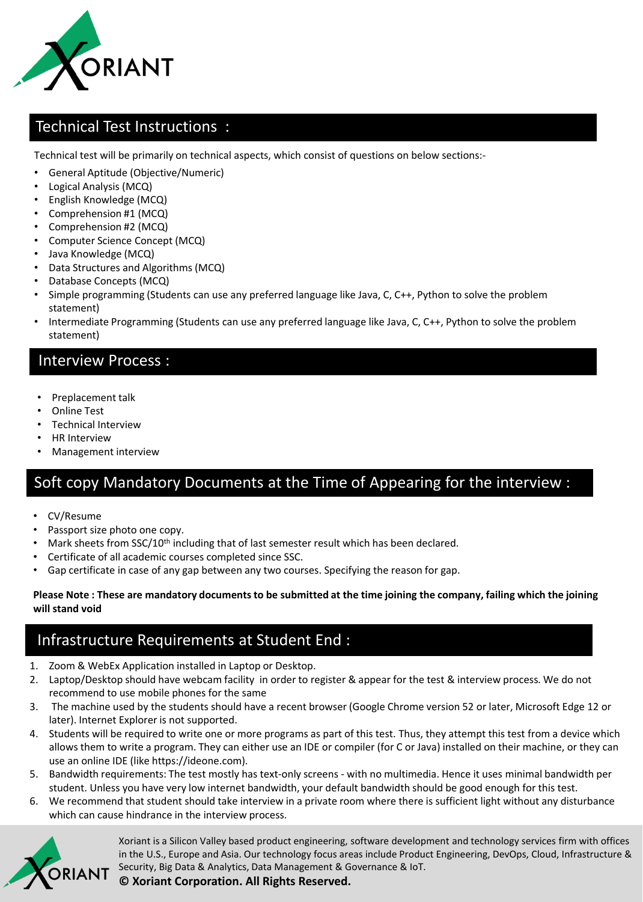

### Technical Test Instructions :

Technical test will be primarily on technical aspects, which consist of questions on below sections:-

- General Aptitude (Objective/Numeric)
- Logical Analysis (MCQ)
- English Knowledge (MCQ)
- Comprehension #1 (MCQ)
- Comprehension #2 (MCQ)
- Computer Science Concept (MCQ)
- Java Knowledge (MCQ)
- Data Structures and Algorithms (MCQ)
- Database Concepts (MCQ)
- Simple programming (Students can use any preferred language like Java, C, C++, Python to solve the problem statement)
- Intermediate Programming (Students can use any preferred language like Java, C, C++, Python to solve the problem statement)

#### Interview Process :

- Preplacement talk
- Online Test
- Technical Interview
- HR Interview
- Management interview

## Soft copy Mandatory Documents at the Time of Appearing for the interview :

- CV/Resume
- Passport size photo one copy.
- Mark sheets from SSC/10<sup>th</sup> including that of last semester result which has been declared.
- Certificate of all academic courses completed since SSC.
- Gap certificate in case of any gap between any two courses. Specifying the reason for gap.

#### **Please Note : These are mandatory documents to be submitted at the time joining the company, failing which the joining will stand void**

## Infrastructure Requirements at Student End :

- 1. Zoom & WebEx Application installed in Laptop or Desktop.
- 2. Laptop/Desktop should have webcam facility in order to register & appear for the test & interview process. We do not recommend to use mobile phones for the same
- 3. The machine used by the students should have a recent browser (Google Chrome version 52 or later, Microsoft Edge 12 or later). Internet Explorer is not supported.
- 4. Students will be required to write one or more programs as part of this test. Thus, they attempt this test from a device which allows them to write a program. They can either use an IDE or compiler (for C or Java) installed on their machine, or they can use an online IDE (like https://ideone.com).
- 5. Bandwidth requirements: The test mostly has text-only screens with no multimedia. Hence it uses minimal bandwidth per student. Unless you have very low internet bandwidth, your default bandwidth should be good enough for this test.
- 6. We recommend that student should take interview in a private room where there is sufficient light without any disturbance which can cause hindrance in the interview process.



Xoriant is a Silicon Valley based product engineering, software development and technology services firm with offices in the U.S., Europe and Asia. Our technology focus areas include Product Engineering, DevOps, Cloud, Infrastructure & Security, Big Data & Analytics, Data Management & Governance & IoT.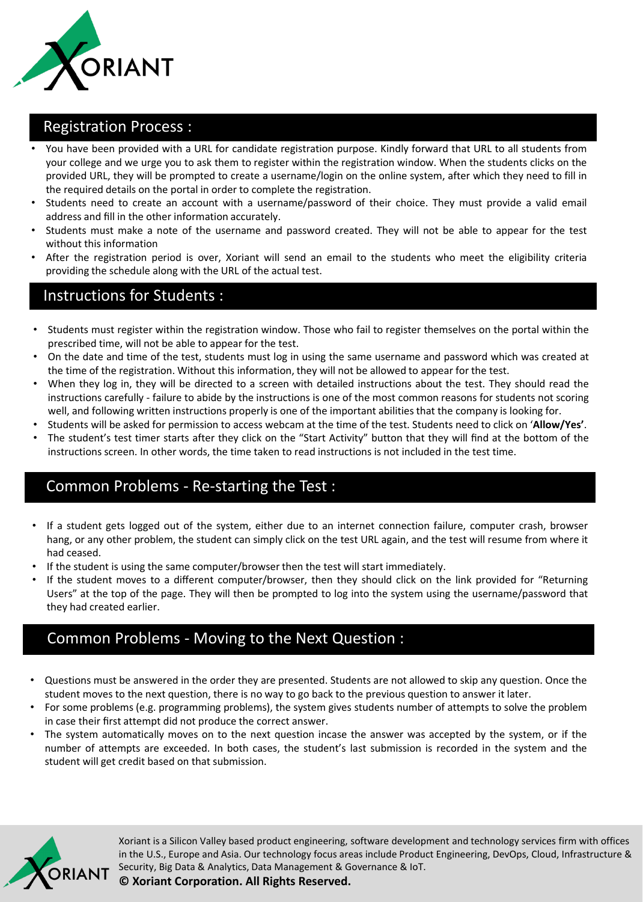

#### Registration Process :

- You have been provided with a URL for candidate registration purpose. Kindly forward that URL to all students from your college and we urge you to ask them to register within the registration window. When the students clicks on the provided URL, they will be prompted to create a username/login on the online system, after which they need to fill in the required details on the portal in order to complete the registration.
- Students need to create an account with a username/password of their choice. They must provide a valid email address and fill in the other information accurately.
- Students must make a note of the username and password created. They will not be able to appear for the test without this information
- After the registration period is over, Xoriant will send an email to the students who meet the eligibility criteria providing the schedule along with the URL of the actual test.

#### Instructions for Students :

- Students must register within the registration window. Those who fail to register themselves on the portal within the prescribed time, will not be able to appear for the test.
- On the date and time of the test, students must log in using the same username and password which was created at the time of the registration. Without this information, they will not be allowed to appear for the test.
- When they log in, they will be directed to a screen with detailed instructions about the test. They should read the instructions carefully - failure to abide by the instructions is one of the most common reasons for students not scoring well, and following written instructions properly is one of the important abilities that the company is looking for.
- Students will be asked for permission to access webcam at the time of the test. Students need to click on '**Allow/Yes'**.
- The student's test timer starts after they click on the "Start Activity" button that they will find at the bottom of the instructions screen. In other words, the time taken to read instructions is not included in the test time.

### Common Problems - Re-starting the Test :

- If a student gets logged out of the system, either due to an internet connection failure, computer crash, browser hang, or any other problem, the student can simply click on the test URL again, and the test will resume from where it had ceased.
- If the student is using the same computer/browser then the test will start immediately.
- If the student moves to a different computer/browser, then they should click on the link provided for "Returning Users" at the top of the page. They will then be prompted to log into the system using the username/password that they had created earlier.

## Common Problems - Moving to the Next Question :

- Questions must be answered in the order they are presented. Students are not allowed to skip any question. Once the student moves to the next question, there is no way to go back to the previous question to answer it later.
- For some problems (e.g. programming problems), the system gives students number of attempts to solve the problem in case their first attempt did not produce the correct answer.
- The system automatically moves on to the next question incase the answer was accepted by the system, or if the number of attempts are exceeded. In both cases, the student's last submission is recorded in the system and the student will get credit based on that submission.



Xoriant is a Silicon Valley based product engineering, software development and technology services firm with offices in the U.S., Europe and Asia. Our technology focus areas include Product Engineering, DevOps, Cloud, Infrastructure & Security, Big Data & Analytics, Data Management & Governance & IoT.